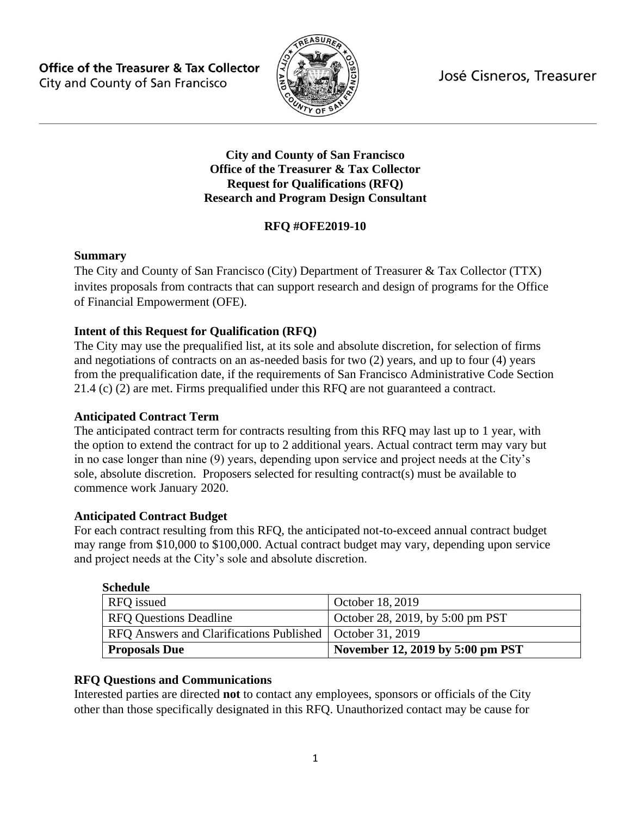José Cisneros, Treasurer

**Office of the Treasurer & Tax Collector** City and County of San Francisco



**City and County of San Francisco Office of the Treasurer & Tax Collector Request for Qualifications (RFQ) Research and Program Design Consultant**

# **RFQ #OFE2019-10**

#### **Summary**

The City and County of San Francisco (City) Department of Treasurer & Tax Collector (TTX) invites proposals from contracts that can support research and design of programs for the Office of Financial Empowerment (OFE).

# **Intent of this Request for Qualification (RFQ)**

The City may use the prequalified list, at its sole and absolute discretion, for selection of firms and negotiations of contracts on an as-needed basis for two (2) years, and up to four (4) years from the prequalification date, if the requirements of San Francisco Administrative Code Section 21.4 (c) (2) are met. Firms prequalified under this RFQ are not guaranteed a contract.

# **Anticipated Contract Term**

The anticipated contract term for contracts resulting from this RFQ may last up to 1 year, with the option to extend the contract for up to 2 additional years. Actual contract term may vary but in no case longer than nine (9) years, depending upon service and project needs at the City's sole, absolute discretion. Proposers selected for resulting contract(s) must be available to commence work January 2020.

# **Anticipated Contract Budget**

For each contract resulting from this RFQ, the anticipated not-to-exceed annual contract budget may range from \$10,000 to \$100,000. Actual contract budget may vary, depending upon service and project needs at the City's sole and absolute discretion.

| Schedule |  |
|----------|--|
|          |  |

| RFQ issued                                                  | October 18, 2019                 |
|-------------------------------------------------------------|----------------------------------|
| <b>RFO Questions Deadline</b>                               | October 28, 2019, by 5:00 pm PST |
| RFO Answers and Clarifications Published   October 31, 2019 |                                  |
| <b>Proposals Due</b>                                        | November 12, 2019 by 5:00 pm PST |

# **RFQ Questions and Communications**

Interested parties are directed **not** to contact any employees, sponsors or officials of the City other than those specifically designated in this RFQ. Unauthorized contact may be cause for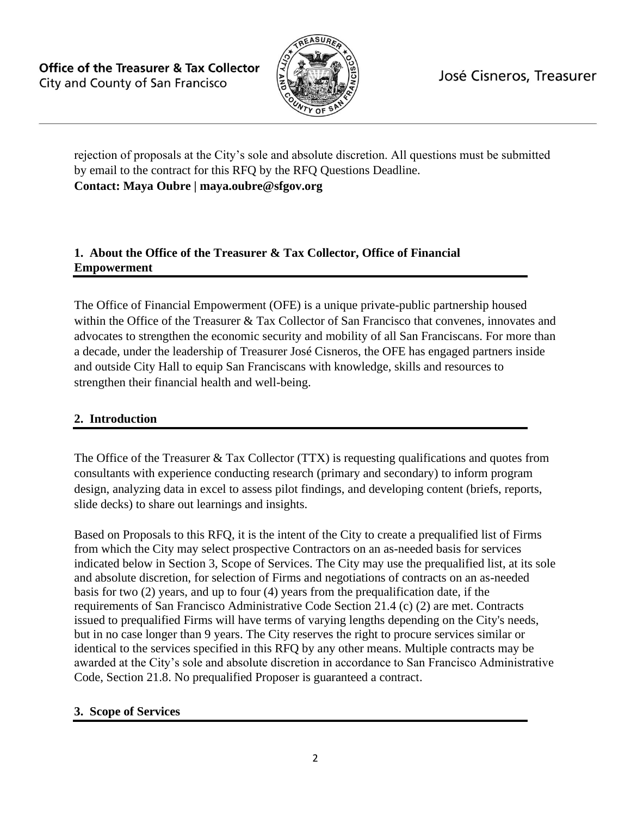

José Cisneros, Treasurer

<span id="page-1-0"></span>rejection of proposals at the City's sole and absolute discretion. All questions must be submitted by email to the contract for this RFQ by the RFQ Questions Deadline. **Contact: Maya Oubre | maya.oubre@sfgov.org**

### **1. About the Office of the Treasurer & Tax Collector, Office of Financial Empowerment**

The Office of Financial Empowerment (OFE) is a unique private-public partnership housed within the Office of the Treasurer & Tax Collector of San Francisco that convenes, innovates and advocates to strengthen the economic security and mobility of all San Franciscans. For more than a decade, under the leadership of Treasurer José Cisneros, the OFE has engaged partners inside and outside City Hall to equip San Franciscans with knowledge, skills and resources to strengthen their financial health and well-being.

# **2. Introduction**

The Office of the Treasurer & Tax Collector (TTX) is requesting qualifications and quotes from consultants with experience conducting research (primary and secondary) to inform program design, analyzing data in excel to assess pilot findings, and developing content (briefs, reports, slide decks) to share out learnings and insights.

Based on Proposals to this RFQ, it is the intent of the City to create a prequalified list of Firms from which the City may select prospective Contractors on an as-needed basis for services indicated below in Section 3, Scope of Services. The City may use the prequalified list, at its sole and absolute discretion, for selection of Firms and negotiations of contracts on an as-needed basis for two (2) years, and up to four (4) years from the prequalification date, if the requirements of San Francisco Administrative Code Section 21.4 (c) (2) are met. Contracts issued to prequalified Firms will have terms of varying lengths depending on the City's needs, but in no case longer than 9 years. The City reserves the right to procure services similar or identical to the services specified in this RFQ by any other means. Multiple contracts may be awarded at the City's sole and absolute discretion in accordance to San Francisco Administrative Code, Section 21.8. No prequalified Proposer is guaranteed a contract.

#### **3. Scope of Services**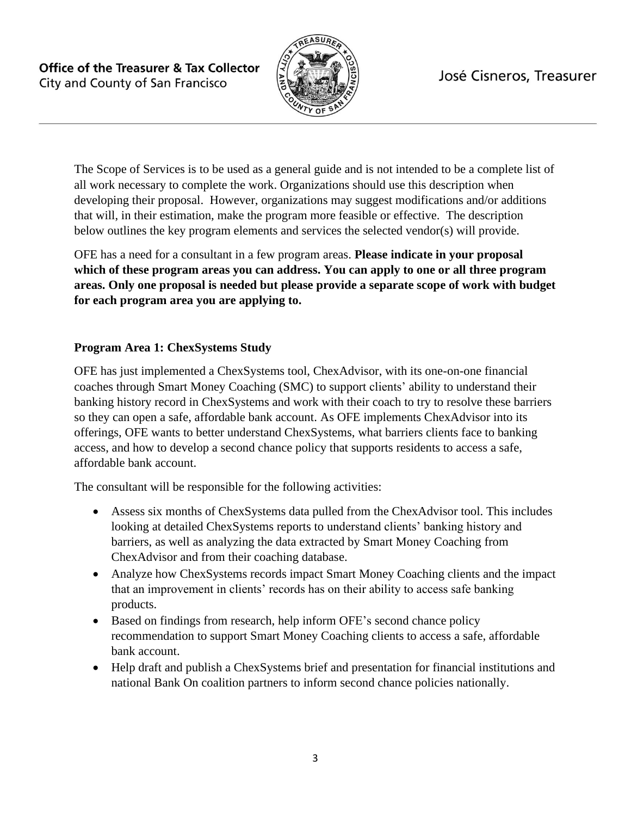

# José Cisneros, Treasurer

The Scope of Services is to be used as a general guide and is not intended to be a complete list of all work necessary to complete the work. Organizations should use this description when developing their proposal. However, organizations may suggest modifications and/or additions that will, in their estimation, make the program more feasible or effective. The description below outlines the key program elements and services the selected vendor(s) will provide.

OFE has a need for a consultant in a few program areas. **Please indicate in your proposal which of these program areas you can address. You can apply to one or all three program areas. Only one proposal is needed but please provide a separate scope of work with budget for each program area you are applying to.** 

### **Program Area 1: ChexSystems Study**

OFE has just implemented a ChexSystems tool, ChexAdvisor, with its one-on-one financial coaches through Smart Money Coaching (SMC) to support clients' ability to understand their banking history record in ChexSystems and work with their coach to try to resolve these barriers so they can open a safe, affordable bank account. As OFE implements ChexAdvisor into its offerings, OFE wants to better understand ChexSystems, what barriers clients face to banking access, and how to develop a second chance policy that supports residents to access a safe, affordable bank account.

The consultant will be responsible for the following activities:

- Assess six months of ChexSystems data pulled from the ChexAdvisor tool. This includes looking at detailed ChexSystems reports to understand clients' banking history and barriers, as well as analyzing the data extracted by Smart Money Coaching from ChexAdvisor and from their coaching database.
- Analyze how ChexSystems records impact Smart Money Coaching clients and the impact that an improvement in clients' records has on their ability to access safe banking products.
- Based on findings from research, help inform OFE's second chance policy recommendation to support Smart Money Coaching clients to access a safe, affordable bank account.
- Help draft and publish a ChexSystems brief and presentation for financial institutions and national Bank On coalition partners to inform second chance policies nationally.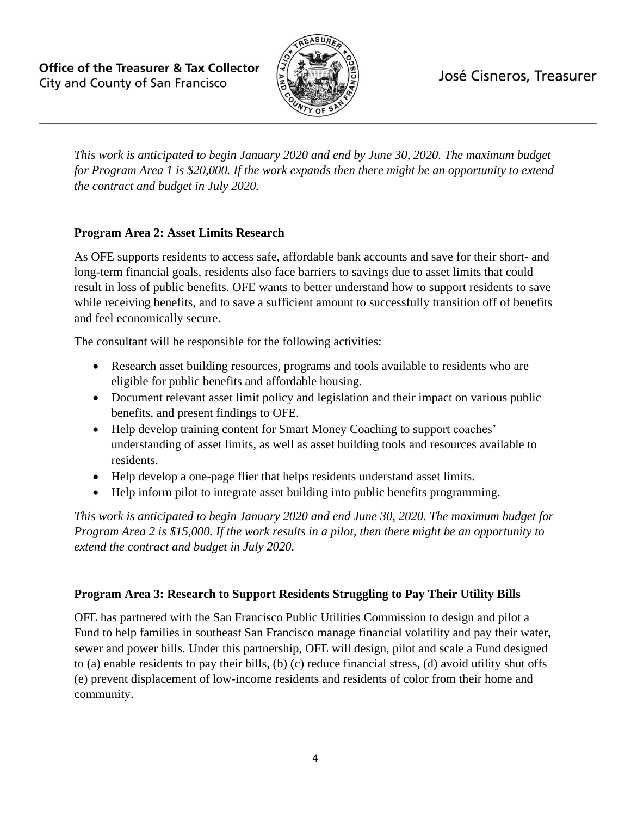José Cisneros, Treasurer

**Office of the Treasurer & Tax Collector** City and County of San Francisco



*This work is anticipated to begin January 2020 and end by June 30, 2020. The maximum budget for Program Area 1 is \$20,000. If the work expands then there might be an opportunity to extend the contract and budget in July 2020.*

# **Program Area 2: Asset Limits Research**

As OFE supports residents to access safe, affordable bank accounts and save for their short- and long-term financial goals, residents also face barriers to savings due to asset limits that could result in loss of public benefits. OFE wants to better understand how to support residents to save while receiving benefits, and to save a sufficient amount to successfully transition off of benefits and feel economically secure.

The consultant will be responsible for the following activities:

- Research asset building resources, programs and tools available to residents who are eligible for public benefits and affordable housing.
- Document relevant asset limit policy and legislation and their impact on various public benefits, and present findings to OFE.
- Help develop training content for Smart Money Coaching to support coaches' understanding of asset limits, as well as asset building tools and resources available to residents.
- Help develop a one-page flier that helps residents understand asset limits.
- Help inform pilot to integrate asset building into public benefits programming.

*This work is anticipated to begin January 2020 and end June 30, 2020. The maximum budget for Program Area 2 is \$15,000. If the work results in a pilot, then there might be an opportunity to extend the contract and budget in July 2020.*

#### **Program Area 3: Research to Support Residents Struggling to Pay Their Utility Bills**

OFE has partnered with the San Francisco Public Utilities Commission to design and pilot a Fund to help families in southeast San Francisco manage financial volatility and pay their water, sewer and power bills. Under this partnership, OFE will design, pilot and scale a Fund designed to (a) enable residents to pay their bills, (b) (c) reduce financial stress, (d) avoid utility shut offs (e) prevent displacement of low-income residents and residents of color from their home and community.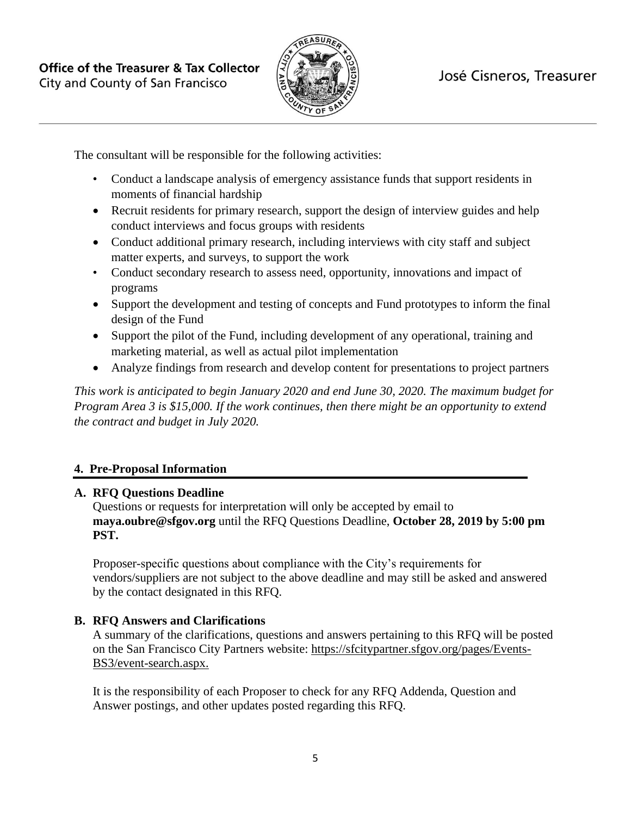

The consultant will be responsible for the following activities:

- Conduct a landscape analysis of emergency assistance funds that support residents in moments of financial hardship
- Recruit residents for primary research, support the design of interview guides and help conduct interviews and focus groups with residents
- Conduct additional primary research, including interviews with city staff and subject matter experts, and surveys, to support the work
- Conduct secondary research to assess need, opportunity, innovations and impact of programs
- Support the development and testing of concepts and Fund prototypes to inform the final design of the Fund
- Support the pilot of the Fund, including development of any operational, training and marketing material, as well as actual pilot implementation
- Analyze findings from research and develop content for presentations to project partners

*This work is anticipated to begin January 2020 and end June 30, 2020. The maximum budget for Program Area 3 is \$15,000. If the work continues, then there might be an opportunity to extend the contract and budget in July 2020.*

# **4. Pre-Proposal Information**

#### **A. RFQ Questions Deadline**

Questions or requests for interpretation will only be accepted by email to **[maya.oubre@sfgov.org](#page-1-0)** until the RFQ Questions Deadline, **October 28, 2019 by 5:00 pm PST.**

Proposer-specific questions about compliance with the City's requirements for vendors/suppliers are not subject to the above deadline and may still be asked and answered by the contact designated in this RFQ.

#### **B. RFQ Answers and Clarifications**

A summary of the clarifications, questions and answers pertaining to this RFQ will be posted on the San Francisco City Partners website: https://sfcitypartner.sfgov.org/pages/Events-BS3/event-search.aspx.

It is the responsibility of each Proposer to check for any RFQ Addenda, Question and Answer postings, and other updates posted regarding this RFQ.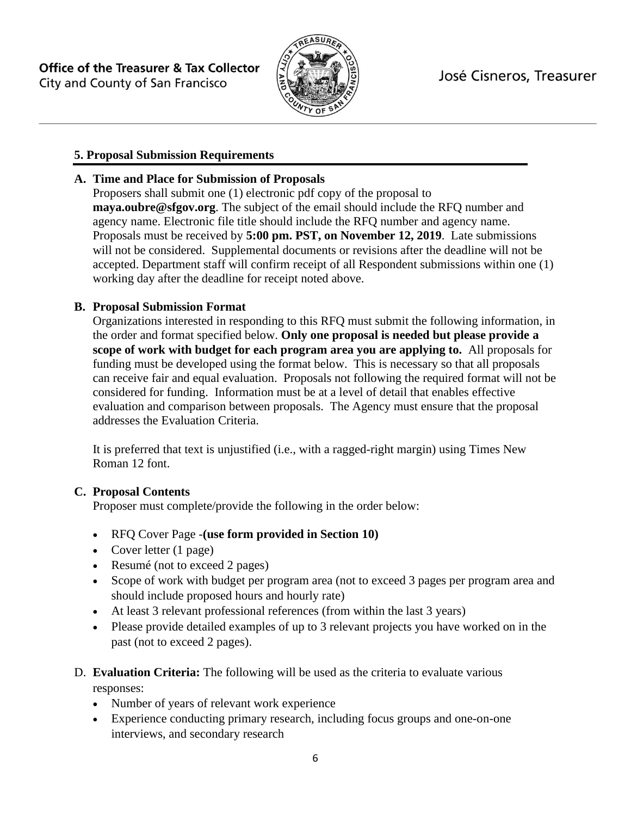

# **5. Proposal Submission Requirements**

# **A. Time and Place for Submission of Proposals**

Proposers shall submit one (1) electronic pdf copy of the proposal to **maya.oubre@sfgov.org**. The subject of the email should include the RFQ number and agency name. Electronic file title should include the RFQ number and agency name. Proposals must be received by **5:00 pm. PST, on November 12, 2019**. Late submissions will not be considered. Supplemental documents or revisions after the deadline will not be accepted. Department staff will confirm receipt of all Respondent submissions within one (1) working day after the deadline for receipt noted above.

### **B. Proposal Submission Format**

Organizations interested in responding to this RFQ must submit the following information, in the order and format specified below. **Only one proposal is needed but please provide a scope of work with budget for each program area you are applying to.** All proposals for funding must be developed using the format below. This is necessary so that all proposals can receive fair and equal evaluation. Proposals not following the required format will not be considered for funding. Information must be at a level of detail that enables effective evaluation and comparison between proposals. The Agency must ensure that the proposal addresses the Evaluation Criteria.

It is preferred that text is unjustified (i.e., with a ragged-right margin) using Times New Roman 12 font.

#### **C. Proposal Contents**

Proposer must complete/provide the following in the order below:

- RFQ Cover Page -**(use form provided in Section 10)**
- Cover letter (1 page)
- Resumé (not to exceed 2 pages)
- Scope of work with budget per program area (not to exceed 3 pages per program area and should include proposed hours and hourly rate)
- At least 3 relevant professional references (from within the last 3 years)
- Please provide detailed examples of up to 3 relevant projects you have worked on in the past (not to exceed 2 pages).

### D. **Evaluation Criteria:** The following will be used as the criteria to evaluate various responses:

- Number of years of relevant work experience
- Experience conducting primary research, including focus groups and one-on-one interviews, and secondary research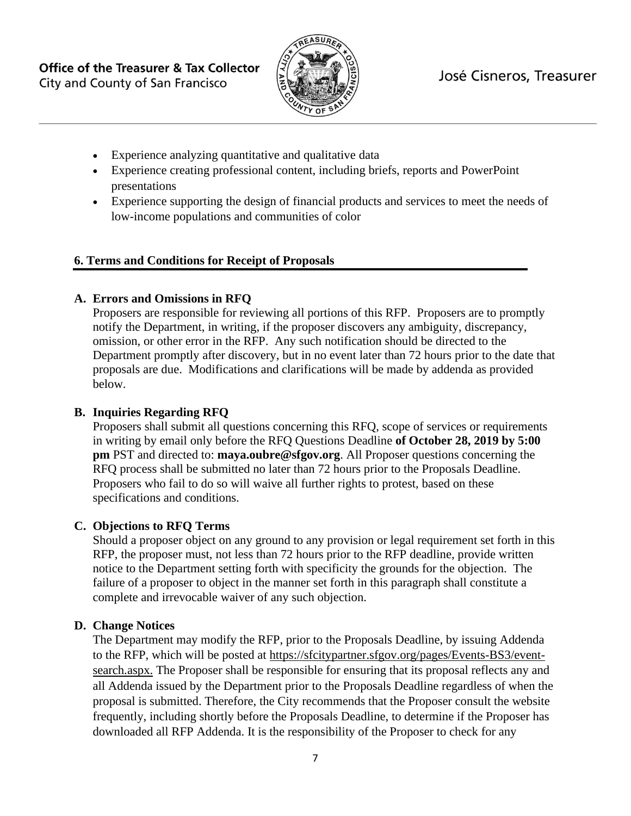

- Experience analyzing quantitative and qualitative data
- Experience creating professional content, including briefs, reports and PowerPoint presentations
- Experience supporting the design of financial products and services to meet the needs of low-income populations and communities of color

#### **6. Terms and Conditions for Receipt of Proposals**

#### **A. Errors and Omissions in RFQ**

Proposers are responsible for reviewing all portions of this RFP. Proposers are to promptly notify the Department, in writing, if the proposer discovers any ambiguity, discrepancy, omission, or other error in the RFP. Any such notification should be directed to the Department promptly after discovery, but in no event later than 72 hours prior to the date that proposals are due. Modifications and clarifications will be made by addenda as provided below.

### **B. Inquiries Regarding RFQ**

Proposers shall submit all questions concerning this RFQ, scope of services or requirements in writing by email only before the RFQ Questions Deadline **of October 28, 2019 by 5:00 pm** PST and directed to: **[maya.oubre@sfgov.org](#page-1-0)**. All Proposer questions concerning the RFQ process shall be submitted no later than 72 hours prior to the Proposals Deadline. Proposers who fail to do so will waive all further rights to protest, based on these specifications and conditions.

#### **C. Objections to RFQ Terms**

Should a proposer object on any ground to any provision or legal requirement set forth in this RFP, the proposer must, not less than 72 hours prior to the RFP deadline, provide written notice to the Department setting forth with specificity the grounds for the objection. The failure of a proposer to object in the manner set forth in this paragraph shall constitute a complete and irrevocable waiver of any such objection.

#### **D. Change Notices**

The Department may modify the RFP, prior to the Proposals Deadline, by issuing Addenda to the RFP, which will be posted at https://sfcitypartner.sfgov.org/pages/Events-BS3/eventsearch.aspx. The Proposer shall be responsible for ensuring that its proposal reflects any and all Addenda issued by the Department prior to the Proposals Deadline regardless of when the proposal is submitted. Therefore, the City recommends that the Proposer consult the website frequently, including shortly before the Proposals Deadline, to determine if the Proposer has downloaded all RFP Addenda. It is the responsibility of the Proposer to check for any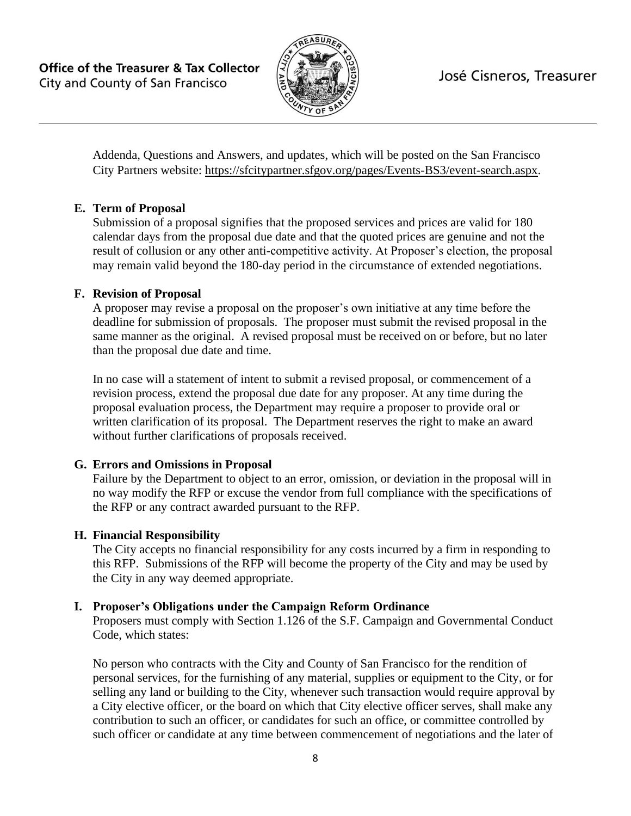

Addenda, Questions and Answers, and updates, which will be posted on the San Francisco City Partners website: https://sfcitypartner.sfgov.org/pages/Events-BS3/event-search.aspx.

### **E. Term of Proposal**

Submission of a proposal signifies that the proposed services and prices are valid for 180 calendar days from the proposal due date and that the quoted prices are genuine and not the result of collusion or any other anti-competitive activity. At Proposer's election, the proposal may remain valid beyond the 180-day period in the circumstance of extended negotiations.

### **F. Revision of Proposal**

A proposer may revise a proposal on the proposer's own initiative at any time before the deadline for submission of proposals. The proposer must submit the revised proposal in the same manner as the original. A revised proposal must be received on or before, but no later than the proposal due date and time.

In no case will a statement of intent to submit a revised proposal, or commencement of a revision process, extend the proposal due date for any proposer. At any time during the proposal evaluation process, the Department may require a proposer to provide oral or written clarification of its proposal. The Department reserves the right to make an award without further clarifications of proposals received.

# **G. Errors and Omissions in Proposal**

Failure by the Department to object to an error, omission, or deviation in the proposal will in no way modify the RFP or excuse the vendor from full compliance with the specifications of the RFP or any contract awarded pursuant to the RFP.

# **H. Financial Responsibility**

The City accepts no financial responsibility for any costs incurred by a firm in responding to this RFP. Submissions of the RFP will become the property of the City and may be used by the City in any way deemed appropriate.

# **I. Proposer's Obligations under the Campaign Reform Ordinance**

Proposers must comply with Section 1.126 of the S.F. Campaign and Governmental Conduct Code, which states:

No person who contracts with the City and County of San Francisco for the rendition of personal services, for the furnishing of any material, supplies or equipment to the City, or for selling any land or building to the City, whenever such transaction would require approval by a City elective officer, or the board on which that City elective officer serves, shall make any contribution to such an officer, or candidates for such an office, or committee controlled by such officer or candidate at any time between commencement of negotiations and the later of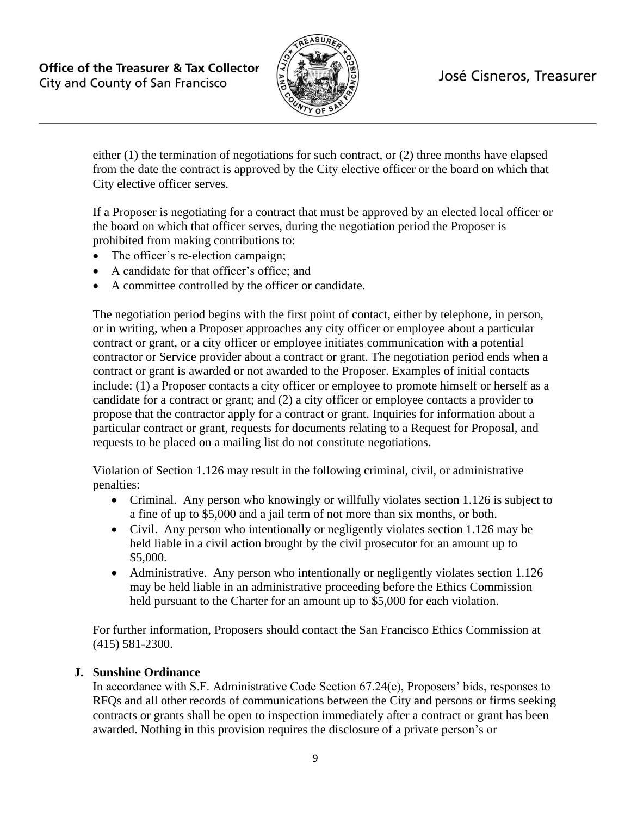

either (1) the termination of negotiations for such contract, or (2) three months have elapsed from the date the contract is approved by the City elective officer or the board on which that City elective officer serves.

If a Proposer is negotiating for a contract that must be approved by an elected local officer or the board on which that officer serves, during the negotiation period the Proposer is prohibited from making contributions to:

- The officer's re-election campaign;
- A candidate for that officer's office; and
- A committee controlled by the officer or candidate.

The negotiation period begins with the first point of contact, either by telephone, in person, or in writing, when a Proposer approaches any city officer or employee about a particular contract or grant, or a city officer or employee initiates communication with a potential contractor or Service provider about a contract or grant. The negotiation period ends when a contract or grant is awarded or not awarded to the Proposer. Examples of initial contacts include: (1) a Proposer contacts a city officer or employee to promote himself or herself as a candidate for a contract or grant; and (2) a city officer or employee contacts a provider to propose that the contractor apply for a contract or grant. Inquiries for information about a particular contract or grant, requests for documents relating to a Request for Proposal, and requests to be placed on a mailing list do not constitute negotiations.

Violation of Section 1.126 may result in the following criminal, civil, or administrative penalties:

- Criminal. Any person who knowingly or willfully violates section 1.126 is subject to a fine of up to \$5,000 and a jail term of not more than six months, or both.
- Civil. Any person who intentionally or negligently violates section 1.126 may be held liable in a civil action brought by the civil prosecutor for an amount up to \$5,000.
- Administrative. Any person who intentionally or negligently violates section 1.126 may be held liable in an administrative proceeding before the Ethics Commission held pursuant to the Charter for an amount up to \$5,000 for each violation.

For further information, Proposers should contact the San Francisco Ethics Commission at (415) 581-2300.

#### **J. Sunshine Ordinance**

In accordance with S.F. Administrative Code Section 67.24(e), Proposers' bids, responses to RFQs and all other records of communications between the City and persons or firms seeking contracts or grants shall be open to inspection immediately after a contract or grant has been awarded. Nothing in this provision requires the disclosure of a private person's or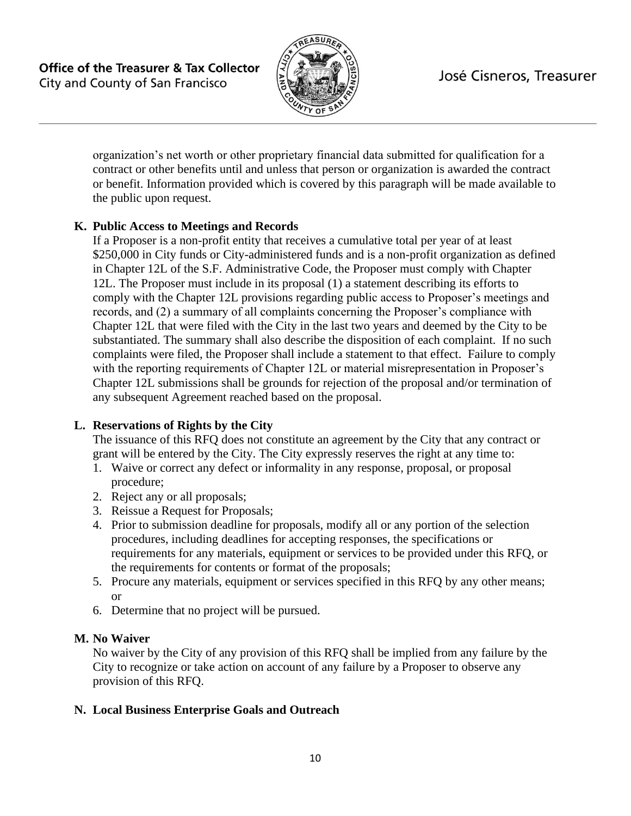

organization's net worth or other proprietary financial data submitted for qualification for a contract or other benefits until and unless that person or organization is awarded the contract or benefit. Information provided which is covered by this paragraph will be made available to the public upon request.

### **K. Public Access to Meetings and Records**

If a Proposer is a non-profit entity that receives a cumulative total per year of at least \$250,000 in City funds or City-administered funds and is a non-profit organization as defined in Chapter 12L of the S.F. Administrative Code, the Proposer must comply with Chapter 12L. The Proposer must include in its proposal (1) a statement describing its efforts to comply with the Chapter 12L provisions regarding public access to Proposer's meetings and records, and (2) a summary of all complaints concerning the Proposer's compliance with Chapter 12L that were filed with the City in the last two years and deemed by the City to be substantiated. The summary shall also describe the disposition of each complaint. If no such complaints were filed, the Proposer shall include a statement to that effect. Failure to comply with the reporting requirements of Chapter 12L or material misrepresentation in Proposer's Chapter 12L submissions shall be grounds for rejection of the proposal and/or termination of any subsequent Agreement reached based on the proposal.

#### **L. Reservations of Rights by the City**

The issuance of this RFQ does not constitute an agreement by the City that any contract or grant will be entered by the City. The City expressly reserves the right at any time to:

- 1. Waive or correct any defect or informality in any response, proposal, or proposal procedure;
- 2. Reject any or all proposals;
- 3. Reissue a Request for Proposals;
- 4. Prior to submission deadline for proposals, modify all or any portion of the selection procedures, including deadlines for accepting responses, the specifications or requirements for any materials, equipment or services to be provided under this RFQ, or the requirements for contents or format of the proposals;
- 5. Procure any materials, equipment or services specified in this RFQ by any other means; or
- 6. Determine that no project will be pursued.

# **M. No Waiver**

No waiver by the City of any provision of this RFQ shall be implied from any failure by the City to recognize or take action on account of any failure by a Proposer to observe any provision of this RFQ.

# **N. Local Business Enterprise Goals and Outreach**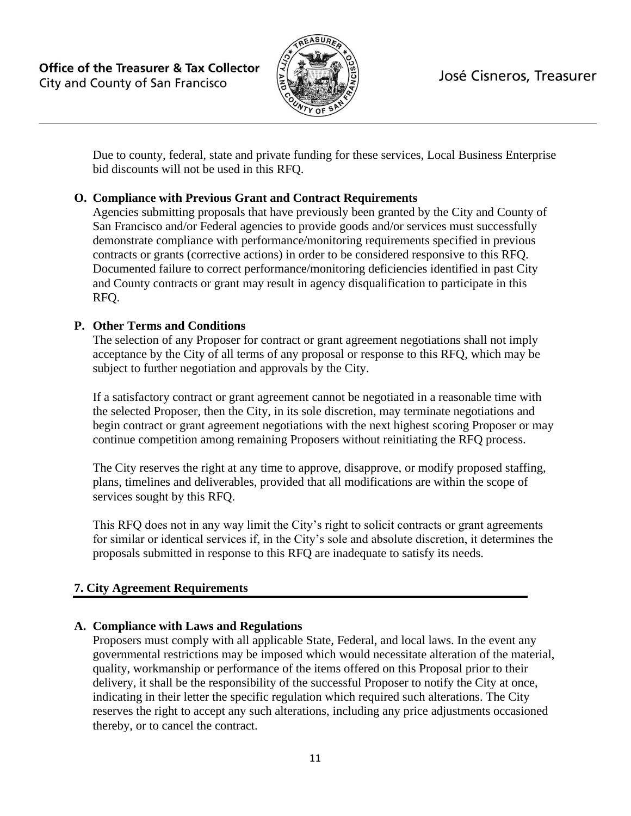

Due to county, federal, state and private funding for these services, Local Business Enterprise bid discounts will not be used in this RFQ.

### **O. Compliance with Previous Grant and Contract Requirements**

Agencies submitting proposals that have previously been granted by the City and County of San Francisco and/or Federal agencies to provide goods and/or services must successfully demonstrate compliance with performance/monitoring requirements specified in previous contracts or grants (corrective actions) in order to be considered responsive to this RFQ. Documented failure to correct performance/monitoring deficiencies identified in past City and County contracts or grant may result in agency disqualification to participate in this RFQ.

### **P. Other Terms and Conditions**

The selection of any Proposer for contract or grant agreement negotiations shall not imply acceptance by the City of all terms of any proposal or response to this RFQ, which may be subject to further negotiation and approvals by the City.

If a satisfactory contract or grant agreement cannot be negotiated in a reasonable time with the selected Proposer, then the City, in its sole discretion, may terminate negotiations and begin contract or grant agreement negotiations with the next highest scoring Proposer or may continue competition among remaining Proposers without reinitiating the RFQ process.

The City reserves the right at any time to approve, disapprove, or modify proposed staffing, plans, timelines and deliverables, provided that all modifications are within the scope of services sought by this RFQ.

This RFQ does not in any way limit the City's right to solicit contracts or grant agreements for similar or identical services if, in the City's sole and absolute discretion, it determines the proposals submitted in response to this RFQ are inadequate to satisfy its needs.

# **7. City Agreement Requirements**

#### **A. Compliance with Laws and Regulations**

Proposers must comply with all applicable State, Federal, and local laws. In the event any governmental restrictions may be imposed which would necessitate alteration of the material, quality, workmanship or performance of the items offered on this Proposal prior to their delivery, it shall be the responsibility of the successful Proposer to notify the City at once, indicating in their letter the specific regulation which required such alterations. The City reserves the right to accept any such alterations, including any price adjustments occasioned thereby, or to cancel the contract.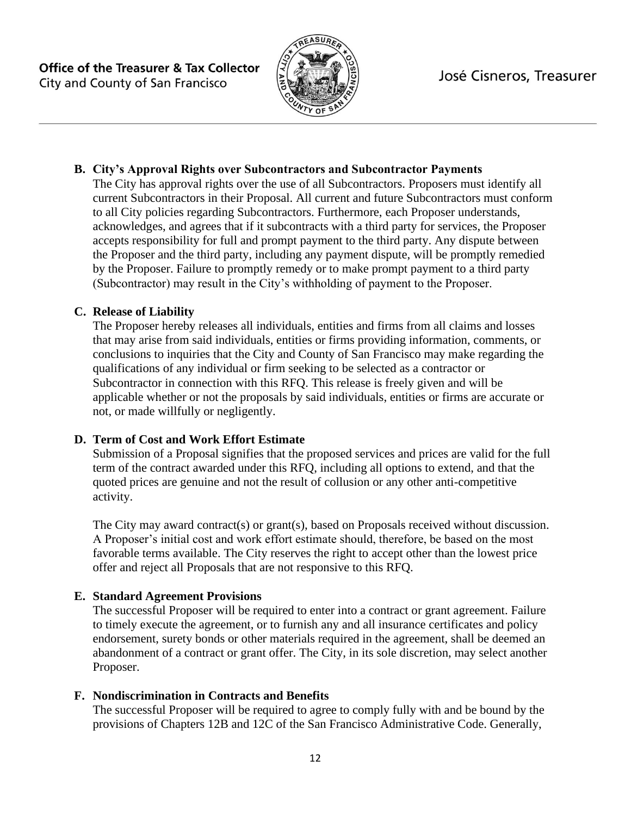

### **B. City's Approval Rights over Subcontractors and Subcontractor Payments**

The City has approval rights over the use of all Subcontractors. Proposers must identify all current Subcontractors in their Proposal. All current and future Subcontractors must conform to all City policies regarding Subcontractors. Furthermore, each Proposer understands, acknowledges, and agrees that if it subcontracts with a third party for services, the Proposer accepts responsibility for full and prompt payment to the third party. Any dispute between the Proposer and the third party, including any payment dispute, will be promptly remedied by the Proposer. Failure to promptly remedy or to make prompt payment to a third party (Subcontractor) may result in the City's withholding of payment to the Proposer.

#### **C. Release of Liability**

The Proposer hereby releases all individuals, entities and firms from all claims and losses that may arise from said individuals, entities or firms providing information, comments, or conclusions to inquiries that the City and County of San Francisco may make regarding the qualifications of any individual or firm seeking to be selected as a contractor or Subcontractor in connection with this RFQ. This release is freely given and will be applicable whether or not the proposals by said individuals, entities or firms are accurate or not, or made willfully or negligently.

# **D. Term of Cost and Work Effort Estimate**

Submission of a Proposal signifies that the proposed services and prices are valid for the full term of the contract awarded under this RFQ, including all options to extend, and that the quoted prices are genuine and not the result of collusion or any other anti-competitive activity.

The City may award contract(s) or grant(s), based on Proposals received without discussion. A Proposer's initial cost and work effort estimate should, therefore, be based on the most favorable terms available. The City reserves the right to accept other than the lowest price offer and reject all Proposals that are not responsive to this RFQ.

#### **E. Standard Agreement Provisions**

The successful Proposer will be required to enter into a contract or grant agreement. Failure to timely execute the agreement, or to furnish any and all insurance certificates and policy endorsement, surety bonds or other materials required in the agreement, shall be deemed an abandonment of a contract or grant offer. The City, in its sole discretion, may select another Proposer.

#### **F. Nondiscrimination in Contracts and Benefits**

The successful Proposer will be required to agree to comply fully with and be bound by the provisions of Chapters 12B and 12C of the San Francisco Administrative Code. Generally,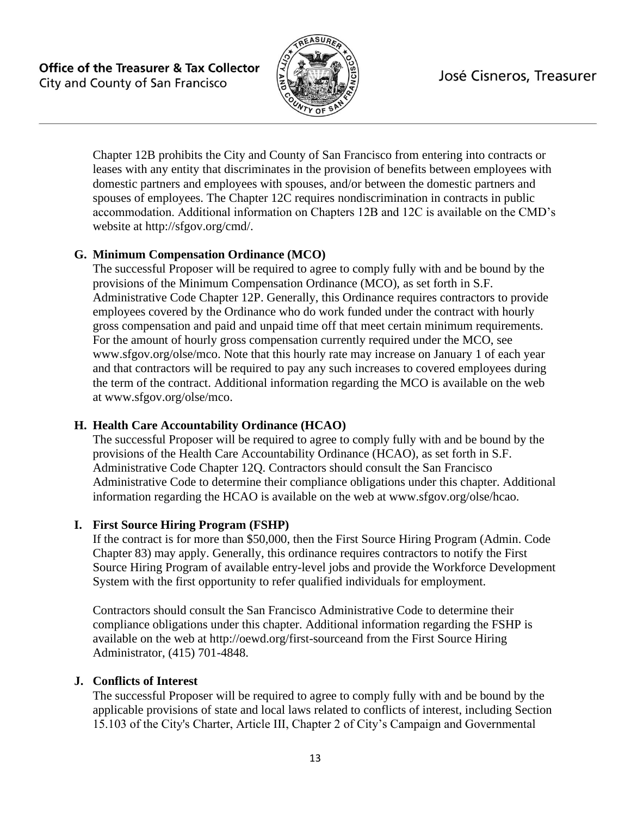

Chapter 12B prohibits the City and County of San Francisco from entering into contracts or leases with any entity that discriminates in the provision of benefits between employees with domestic partners and employees with spouses, and/or between the domestic partners and spouses of employees. The Chapter 12C requires nondiscrimination in contracts in public accommodation. Additional information on Chapters 12B and 12C is available on the CMD's website at http://sfgov.org/cmd/.

### **G. Minimum Compensation Ordinance (MCO)**

The successful Proposer will be required to agree to comply fully with and be bound by the provisions of the Minimum Compensation Ordinance (MCO), as set forth in S.F. Administrative Code Chapter 12P. Generally, this Ordinance requires contractors to provide employees covered by the Ordinance who do work funded under the contract with hourly gross compensation and paid and unpaid time off that meet certain minimum requirements. For the amount of hourly gross compensation currently required under the MCO, see www.sfgov.org/olse/mco. Note that this hourly rate may increase on January 1 of each year and that contractors will be required to pay any such increases to covered employees during the term of the contract. Additional information regarding the MCO is available on the web at www.sfgov.org/olse/mco.

#### **H. Health Care Accountability Ordinance (HCAO)**

The successful Proposer will be required to agree to comply fully with and be bound by the provisions of the Health Care Accountability Ordinance (HCAO), as set forth in S.F. Administrative Code Chapter 12Q. Contractors should consult the San Francisco Administrative Code to determine their compliance obligations under this chapter. Additional information regarding the HCAO is available on the web at www.sfgov.org/olse/hcao.

#### **I. First Source Hiring Program (FSHP)**

If the contract is for more than \$50,000, then the First Source Hiring Program (Admin. Code Chapter 83) may apply. Generally, this ordinance requires contractors to notify the First Source Hiring Program of available entry-level jobs and provide the Workforce Development System with the first opportunity to refer qualified individuals for employment.

Contractors should consult the San Francisco Administrative Code to determine their compliance obligations under this chapter. Additional information regarding the FSHP is available on the web at http://oewd.org/first-sourceand from the First Source Hiring Administrator, (415) 701-4848.

#### **J. Conflicts of Interest**

The successful Proposer will be required to agree to comply fully with and be bound by the applicable provisions of state and local laws related to conflicts of interest, including Section 15.103 of the City's Charter, Article III, Chapter 2 of City's Campaign and Governmental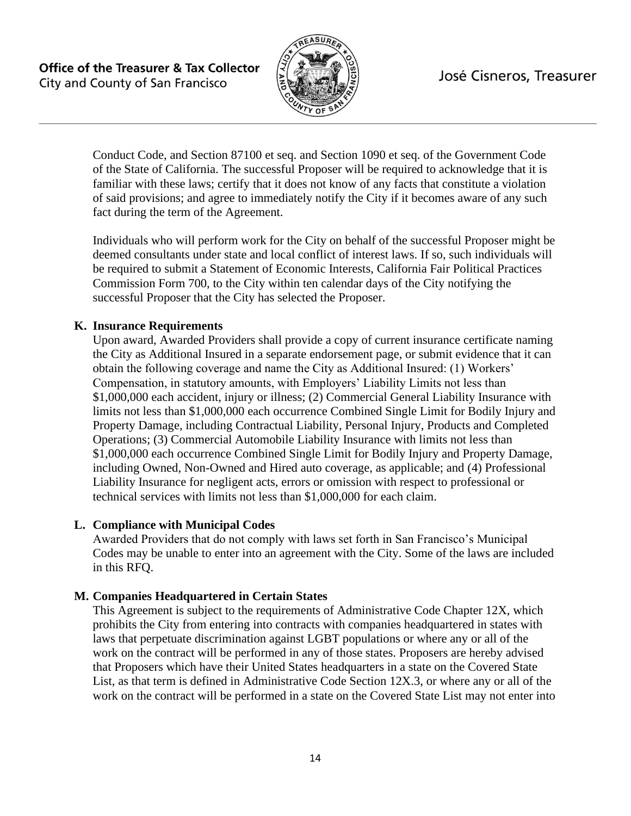

Conduct Code, and Section 87100 et seq. and Section 1090 et seq. of the Government Code of the State of California. The successful Proposer will be required to acknowledge that it is familiar with these laws; certify that it does not know of any facts that constitute a violation of said provisions; and agree to immediately notify the City if it becomes aware of any such fact during the term of the Agreement.

Individuals who will perform work for the City on behalf of the successful Proposer might be deemed consultants under state and local conflict of interest laws. If so, such individuals will be required to submit a Statement of Economic Interests, California Fair Political Practices Commission Form 700, to the City within ten calendar days of the City notifying the successful Proposer that the City has selected the Proposer.

#### **K. Insurance Requirements**

Upon award, Awarded Providers shall provide a copy of current insurance certificate naming the City as Additional Insured in a separate endorsement page, or submit evidence that it can obtain the following coverage and name the City as Additional Insured: (1) Workers' Compensation, in statutory amounts, with Employers' Liability Limits not less than \$1,000,000 each accident, injury or illness; (2) Commercial General Liability Insurance with limits not less than \$1,000,000 each occurrence Combined Single Limit for Bodily Injury and Property Damage, including Contractual Liability, Personal Injury, Products and Completed Operations; (3) Commercial Automobile Liability Insurance with limits not less than \$1,000,000 each occurrence Combined Single Limit for Bodily Injury and Property Damage, including Owned, Non-Owned and Hired auto coverage, as applicable; and (4) Professional Liability Insurance for negligent acts, errors or omission with respect to professional or technical services with limits not less than \$1,000,000 for each claim.

#### **L. Compliance with Municipal Codes**

Awarded Providers that do not comply with laws set forth in San Francisco's Municipal Codes may be unable to enter into an agreement with the City. Some of the laws are included in this RFQ.

#### **M. Companies Headquartered in Certain States**

This Agreement is subject to the requirements of Administrative Code Chapter 12X, which prohibits the City from entering into contracts with companies headquartered in states with laws that perpetuate discrimination against LGBT populations or where any or all of the work on the contract will be performed in any of those states. Proposers are hereby advised that Proposers which have their United States headquarters in a state on the Covered State List, as that term is defined in Administrative Code Section 12X.3, or where any or all of the work on the contract will be performed in a state on the Covered State List may not enter into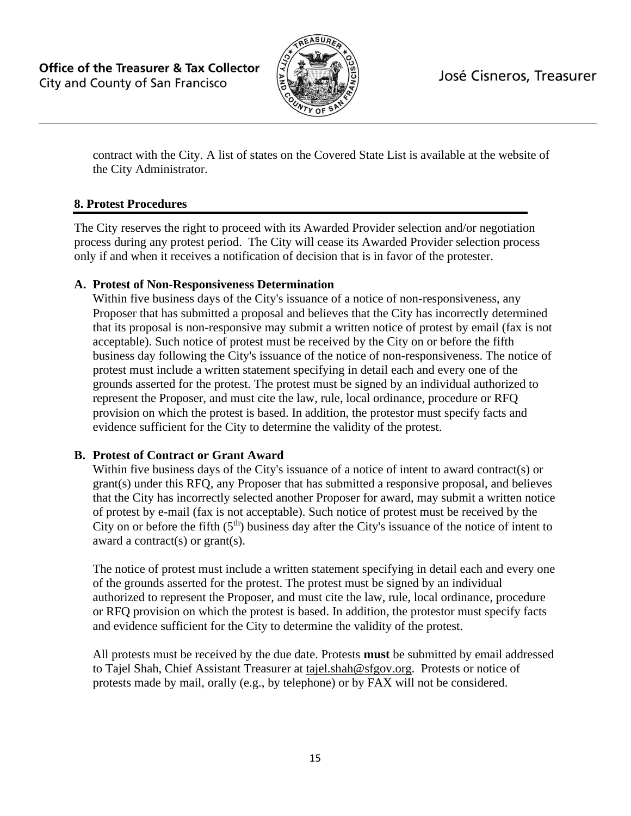

contract with the City. A list of states on the Covered State List is available at the website of the City Administrator.

# **8. Protest Procedures**

The City reserves the right to proceed with its Awarded Provider selection and/or negotiation process during any protest period. The City will cease its Awarded Provider selection process only if and when it receives a notification of decision that is in favor of the protester.

### **A. Protest of Non-Responsiveness Determination**

Within five business days of the City's issuance of a notice of non-responsiveness, any Proposer that has submitted a proposal and believes that the City has incorrectly determined that its proposal is non-responsive may submit a written notice of protest by email (fax is not acceptable). Such notice of protest must be received by the City on or before the fifth business day following the City's issuance of the notice of non-responsiveness. The notice of protest must include a written statement specifying in detail each and every one of the grounds asserted for the protest. The protest must be signed by an individual authorized to represent the Proposer, and must cite the law, rule, local ordinance, procedure or RFQ provision on which the protest is based. In addition, the protestor must specify facts and evidence sufficient for the City to determine the validity of the protest.

# **B. Protest of Contract or Grant Award**

Within five business days of the City's issuance of a notice of intent to award contract(s) or grant(s) under this RFQ, any Proposer that has submitted a responsive proposal, and believes that the City has incorrectly selected another Proposer for award, may submit a written notice of protest by e-mail (fax is not acceptable). Such notice of protest must be received by the City on or before the fifth  $(5<sup>th</sup>)$  business day after the City's issuance of the notice of intent to award a contract(s) or grant(s).

The notice of protest must include a written statement specifying in detail each and every one of the grounds asserted for the protest. The protest must be signed by an individual authorized to represent the Proposer, and must cite the law, rule, local ordinance, procedure or RFQ provision on which the protest is based. In addition, the protestor must specify facts and evidence sufficient for the City to determine the validity of the protest.

All protests must be received by the due date. Protests **must** be submitted by email addressed to Tajel Shah, Chief Assistant Treasurer at tajel.shah@sfgov.org. Protests or notice of protests made by mail, orally (e.g., by telephone) or by FAX will not be considered.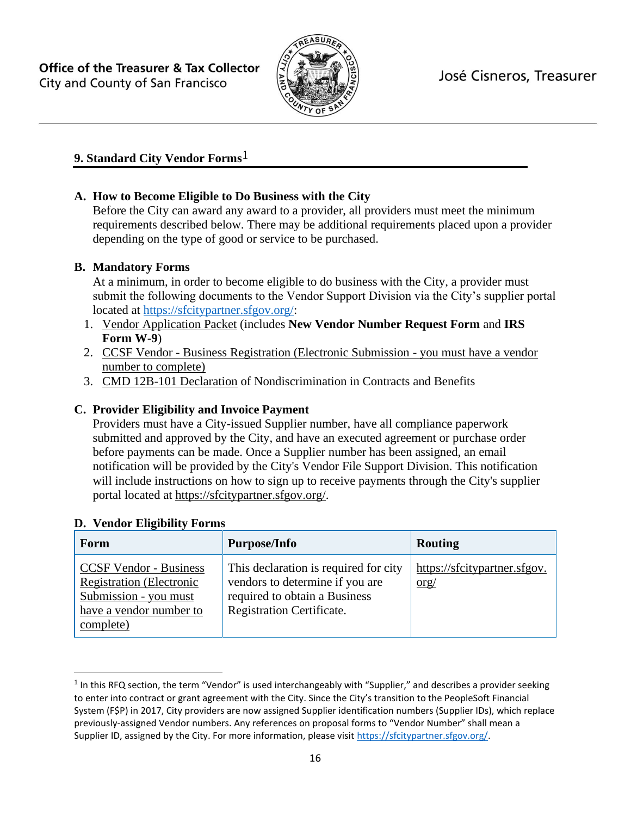

# **9. Standard City Vendor Forms**1

# **A. How to Become Eligible to Do Business with the City**

Before the City can award any award to a provider, all providers must meet the minimum requirements described below. There may be additional requirements placed upon a provider depending on the type of good or service to be purchased.

### **B. Mandatory Forms**

At a minimum, in order to become eligible to do business with the City, a provider must submit the following documents to the Vendor Support Division via the City's supplier portal located at [https://sfcitypartner.sfgov.org/:](https://sfcitypartner.sfgov.org/)

- 1. [Vendor Application Packet](http://sfgov.org/oca/file/167) (includes **New Vendor Number Request Form** and **IRS Form W-9**)
- 2. [CC](http://www.sftreasurer.org/vendor)SF Vendor [Business Registration \(Electronic Submission -](http://www.sftreasurer.org/vendor) you must have a vendor [number to complete\)](http://www.sftreasurer.org/vendor)
- 3. [CMD 12B-101 Declaration](http://sfgov.org/oca/sites/default/files/CMD-12B-101%20Declaration.pdf) of Nondiscrimination in Contracts and Benefits

### **C. Provider Eligibility and Invoice Payment**

Providers must have a City-issued Supplier number, have all compliance paperwork submitted and approved by the City, and have an executed agreement or purchase order before payments can be made. Once a Supplier number has been assigned, an email notification will be provided by the City's Vendor File Support Division. This notification will include instructions on how to sign up to receive payments through the City's supplier portal located at [https://sfcitypartner.sfgov.org/.](https://sfcitypartner.sfgov.org/)

| Form                                                                                                                              | <b>Purpose/Info</b>                                                                                                                           | <b>Routing</b>                                                |
|-----------------------------------------------------------------------------------------------------------------------------------|-----------------------------------------------------------------------------------------------------------------------------------------------|---------------------------------------------------------------|
| <b>CCSF Vendor - Business</b><br><b>Registration</b> (Electronic<br>Submission - you must<br>have a vendor number to<br>complete) | This declaration is required for city<br>vendors to determine if you are<br>required to obtain a Business<br><b>Registration Certificate.</b> | https://sfcitypartner.sfgov.<br>$\frac{\text{org}}{\text{g}}$ |

#### **D. Vendor Eligibility Forms**

 $1$  In this RFQ section, the term "Vendor" is used interchangeably with "Supplier," and describes a provider seeking to enter into contract or grant agreement with the City. Since the City's transition to the PeopleSoft Financial System (F\$P) in 2017, City providers are now assigned Supplier identification numbers (Supplier IDs), which replace previously-assigned Vendor numbers. Any references on proposal forms to "Vendor Number" shall mean a Supplier ID, assigned by the City. For more information, please visit [https://sfcitypartner.sfgov.org/.](https://sfcitypartner.sfgov.org/)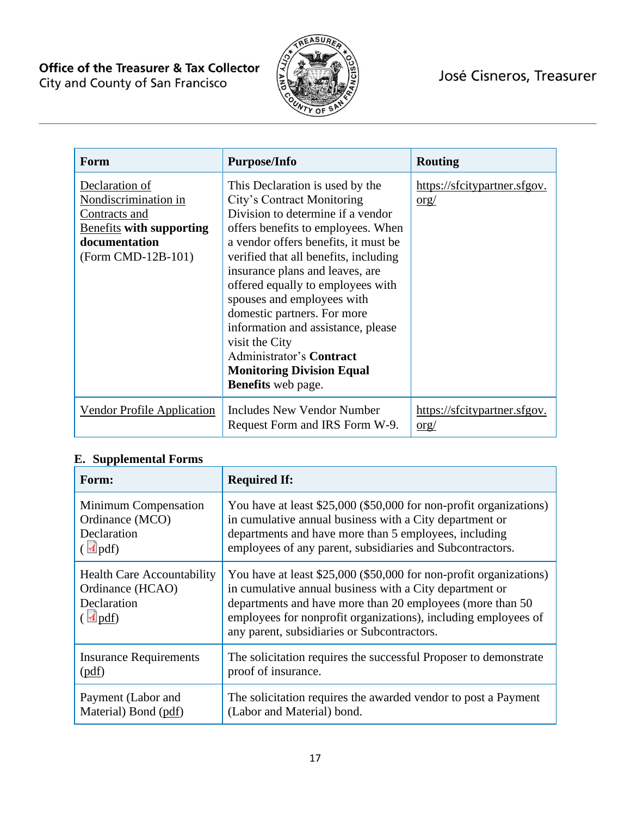

| Form                                                                                                                              | <b>Purpose/Info</b>                                                                                                                                                                                                                                                                                                                                                                                                                                                                                                 | <b>Routing</b>                                                |
|-----------------------------------------------------------------------------------------------------------------------------------|---------------------------------------------------------------------------------------------------------------------------------------------------------------------------------------------------------------------------------------------------------------------------------------------------------------------------------------------------------------------------------------------------------------------------------------------------------------------------------------------------------------------|---------------------------------------------------------------|
| Declaration of<br>Nondiscrimination in<br>Contracts and<br><b>Benefits with supporting</b><br>documentation<br>(Form CMD-12B-101) | This Declaration is used by the<br>City's Contract Monitoring<br>Division to determine if a vendor<br>offers benefits to employees. When<br>a vendor offers benefits, it must be<br>verified that all benefits, including<br>insurance plans and leaves, are<br>offered equally to employees with<br>spouses and employees with<br>domestic partners. For more<br>information and assistance, please<br>visit the City<br>Administrator's Contract<br><b>Monitoring Division Equal</b><br><b>Benefits</b> web page. | https://sfcitypartner.sfgov.<br>$\frac{\text{org}}{\text{g}}$ |
| <b>Vendor Profile Application</b>                                                                                                 | Includes New Vendor Number<br>Request Form and IRS Form W-9.                                                                                                                                                                                                                                                                                                                                                                                                                                                        | https://sfcitypartner.sfgov.<br>org/                          |

# **E. Supplemental Forms**

| Form:                                                                                                     | <b>Required If:</b>                                                                                                                                                                                                                                                                                         |
|-----------------------------------------------------------------------------------------------------------|-------------------------------------------------------------------------------------------------------------------------------------------------------------------------------------------------------------------------------------------------------------------------------------------------------------|
| Minimum Compensation                                                                                      | You have at least \$25,000 (\$50,000 for non-profit organizations)                                                                                                                                                                                                                                          |
| Ordinance (MCO)                                                                                           | in cumulative annual business with a City department or                                                                                                                                                                                                                                                     |
| Declaration                                                                                               | departments and have more than 5 employees, including                                                                                                                                                                                                                                                       |
| $\left(\sqrt{\mathbf{d}}\,\mathrm{pdf}\right)$                                                            | employees of any parent, subsidiaries and Subcontractors.                                                                                                                                                                                                                                                   |
| <b>Health Care Accountability</b><br>Ordinance (HCAO)<br>Declaration<br>$\left(\sqrt{\frac{1}{2}}\right)$ | You have at least \$25,000 (\$50,000 for non-profit organizations)<br>in cumulative annual business with a City department or<br>departments and have more than 20 employees (more than 50<br>employees for nonprofit organizations), including employees of<br>any parent, subsidiaries or Subcontractors. |
| <b>Insurance Requirements</b>                                                                             | The solicitation requires the successful Proposer to demonstrate                                                                                                                                                                                                                                            |
| (pdf)                                                                                                     | proof of insurance.                                                                                                                                                                                                                                                                                         |
| Payment (Labor and                                                                                        | The solicitation requires the awarded vendor to post a Payment                                                                                                                                                                                                                                              |
| Material) Bond (pdf)                                                                                      | (Labor and Material) bond.                                                                                                                                                                                                                                                                                  |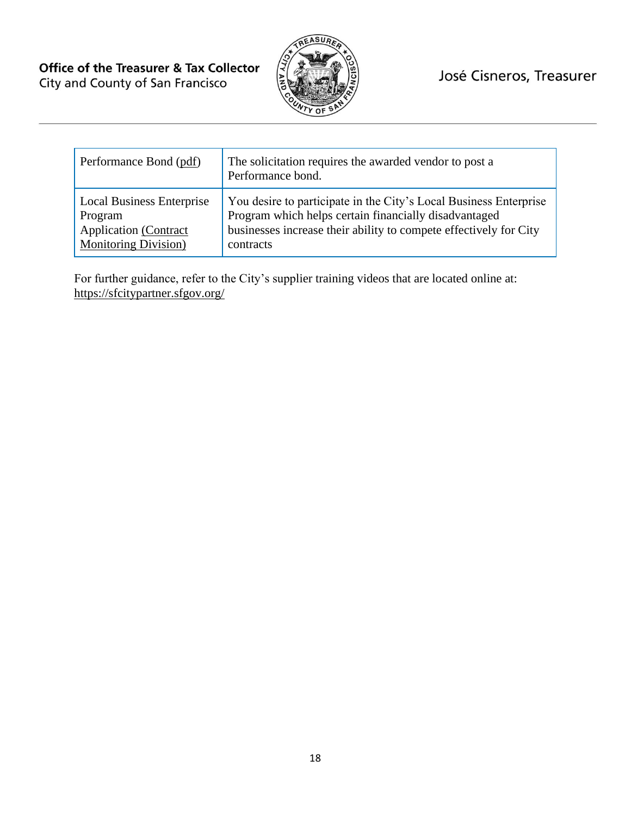

| Performance Bond (pdf)           | The solicitation requires the awarded vendor to post a<br>Performance bond. |
|----------------------------------|-----------------------------------------------------------------------------|
| <b>Local Business Enterprise</b> | You desire to participate in the City's Local Business Enterprise           |
| Program                          | Program which helps certain financially disadvantaged                       |
| <b>Application</b> (Contract     | businesses increase their ability to compete effectively for City           |
| <b>Monitoring Division</b> )     | contracts                                                                   |

For further guidance, refer to the City's supplier training videos that are located online at: <https://sfcitypartner.sfgov.org/>